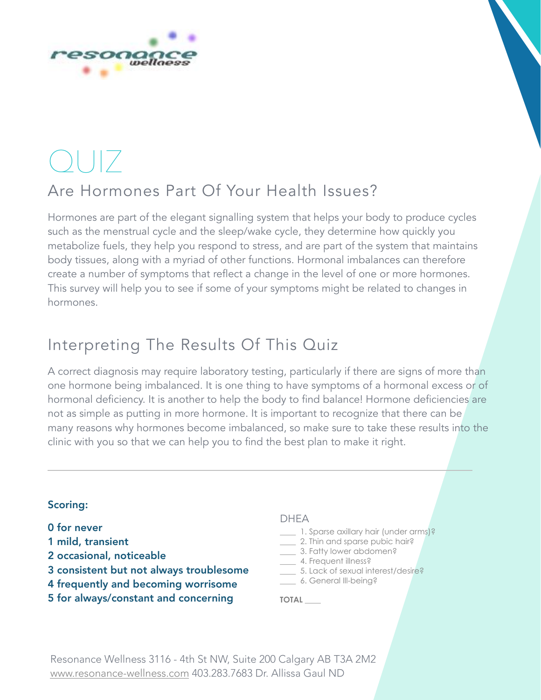

# $\bigcirc$

# Are Hormones Part Of Your Health Issues?

Hormones are part of the elegant signalling system that helps your body to produce cycles such as the menstrual cycle and the sleep/wake cycle, they determine how quickly you metabolize fuels, they help you respond to stress, and are part of the system that maintains body tissues, along with a myriad of other functions. Hormonal imbalances can therefore create a number of symptoms that reflect a change in the level of one or more hormones. This survey will help you to see if some of your symptoms might be related to changes in hormones.

# Interpreting The Results Of This Quiz

A correct diagnosis may require laboratory testing, particularly if there are signs of more than one hormone being imbalanced. It is one thing to have symptoms of a hormonal excess or of hormonal deficiency. It is another to help the body to find balance! Hormone deficiencies are not as simple as putting in more hormone. It is important to recognize that there can be many reasons why hormones become imbalanced, so make sure to take these results into the clinic with you so that we can help you to find the best plan to make it right.

# Scoring:

- 0 for never
- 1 mild, transient
- 2 occasional, noticeable
- 3 consistent but not always troublesome
- 4 frequently and becoming worrisome
- 5 for always/constant and concerning

# DHEA

- \_\_\_\_ 1. Sparse axillary hair (under arms)?
- **12.** 2. Thin and sparse pubic hair?
- \_\_\_\_ 3. Fatty lower abdomen?
- \_\_\_\_ 4. Frequent illness?
- \_\_\_\_ 5. Lack of sexual interest/desire? \_\_\_\_ 6. General Ill-being?

**TOTAL** \_\_\_\_

Resonance Wellness 3116 - 4th St NW, Suite 200 Calgary AB T3A 2M2 [www.resonance-wellness.com](http://www.resonance-wellness.com) 403.283.7683 Dr. Allissa Gaul ND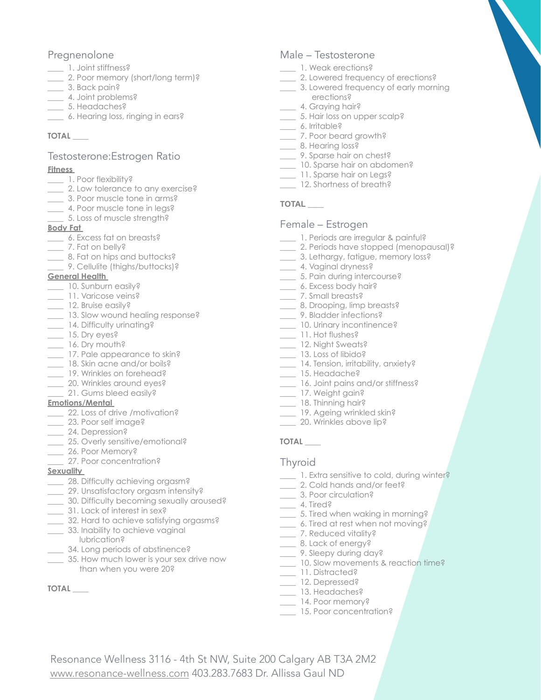# Pregnenolone

- \_\_\_\_ 1. Joint stiffness?
- \_\_\_\_ 2. Poor memory (short/long term)?
- \_\_\_\_ 3. Back pain?
- \_\_\_\_ 4. Joint problems?
- \_\_\_\_ 5. Headaches?
- \_\_\_\_ 6. Hearing loss, ringing in ears?

# **TOTAL** \_\_\_\_

# Testosterone:Estrogen Ratio

#### **Fitness**

- \_\_\_\_ 1. Poor flexibility?
- \_\_\_\_ 2. Low tolerance to any exercise?
- \_\_\_\_ 3. Poor muscle tone in arms?
- \_\_\_\_ 4. Poor muscle tone in legs?
- \_\_\_\_ 5. Loss of muscle strength?

#### **Body Fat**

- \_\_\_\_ 6. Excess fat on breasts?
- \_\_\_\_ 7. Fat on belly?
- **\_\_\_\_** 8. Fat on hips and buttocks?
	- \_\_\_\_ 9. Cellulite (thighs/buttocks)?

## **General Health**

- \_\_\_ 10. Sunburn easily?
- \_\_ 11. Varicose veins?
- 12. Bruise easily?
- \_\_\_\_ 13. Slow wound healing response?
- \_\_\_ 14. Difficulty urinating?
- \_\_\_\_ 15. Dry eyes?
- $_$  16. Dry mouth?
- \_\_\_\_ 17. Pale appearance to skin?
- 18. Skin acne and/or boils?
- \_\_\_\_ 19. Wrinkles on forehead?
- \_\_\_\_ 20. Wrinkles around eyes?
- \_\_\_\_ 21. Gums bleed easily?

## **Emotions/Mental**

- \_\_\_\_ 22. Loss of drive /motivation?
- \_\_\_\_ 23. Poor self image?
- \_\_\_\_ 24. Depression?
- \_\_\_\_ 25. Overly sensitive/emotional?
- \_\_\_\_ 26. Poor Memory?
- 27. Poor concentration?

## **Sexuality**

- \_\_\_\_ 28. Difficulty achieving orgasm?
- \_\_\_\_ 29. Unsatisfactory orgasm intensity?
- \_\_\_\_ 30. Difficulty becoming sexually aroused?
- \_\_\_\_ 31. Lack of interest in sex?
- \_\_\_\_ 32. Hard to achieve satisfying orgasms?
- \_\_\_\_ 33. Inability to achieve vaginal
- lubrication?
- \_\_\_\_ 34. Long periods of abstinence?
- \_\_\_\_ 35. How much lower is your sex drive now than when you were 20?

Resonance Wellness 3116 - 4th St NW, Suite 200 Calgary AB T3A 2M2

[www.resonance-wellness.com](http://www.resonance-wellness.com) 403.283.7683 Dr. Allissa Gaul ND

# **TOTAL** \_\_\_\_

# Male – Testosterone

- \_\_\_\_ 1. Weak erections?
- \_\_\_\_ 2. Lowered frequency of erections?
- \_\_\_\_ 3. Lowered frequency of early morning erections?
- 4. Graying hair?
- \_\_\_\_ 5. Hair loss on upper scalp?
- \_\_\_ 6. Irritable?
- \_\_\_\_ 7. Poor beard growth?
- \_\_\_ 8. Hearing loss?
- \_\_\_\_ 9. Sparse hair on chest?
- \_\_\_\_ 10. Sparse hair on abdomen?
- \_\_\_\_ 11. Sparse hair on Legs? \_\_\_\_ 12. Shortness of breath?
- 

# **TOTAL** \_\_\_\_

# Female – Estrogen

- 1. Periods are irregular & painful?
- \_\_\_\_ 2. Periods have stopped (menopausal)?
- \_\_\_\_ 3. Lethargy, fatigue, memory loss?
- \_\_\_ 4. Vaginal dryness?
- \_\_\_\_ 5. Pain during intercourse?
- \_\_\_\_ 6. Excess body hair?
- \_\_\_ 7. Small breasts?
- \_\_\_\_ 8. Drooping, limp breasts?
- \_\_\_\_ 9. Bladder infections?
- \_\_\_\_ 10. Urinary incontinence?
- \_\_\_\_ 11. Hot flushes?
- \_\_\_\_ 12. Night Sweats?
- \_\_\_\_ 13. Loss of libido?
- \_\_\_\_ 14. Tension, irritability, anxiety?
- \_\_\_\_ 15. Headache?
- \_\_\_\_ 16. Joint pains and/or stiffness?
- \_\_\_ 17. Weight gain?
- \_\_\_\_ 18. Thinning hair?
- \_\_\_ 19. Ageing wrinkled skin?
- 20. Wrinkles above lip?

# **TOTAL** \_\_\_\_

# **Thyroid**

- **1. Extra sensitive to cold, during winter?**
- \_\_\_\_ 2. Cold hands and/or feet?
- \_\_\_\_ 3. Poor circulation?
- $\frac{4. \text{Tired}}{2}$
- \_\_\_\_ 5. Tired when waking in morning?
- \_\_\_\_ 6. Tired at rest when not moving?
- \_\_\_\_ 7. Reduced vitality?
- \_\_\_ 8. Lack of energy?
- \_\_\_\_ 9. Sleepy during day?
- \_\_\_\_ 10. Slow movements & reaction time?
- \_\_\_\_ 11. Distracted?
- \_\_\_\_ 12. Depressed? \_\_\_\_ 13. Headaches?

\_\_\_\_ 14. Poor memory? 15. Poor concentration?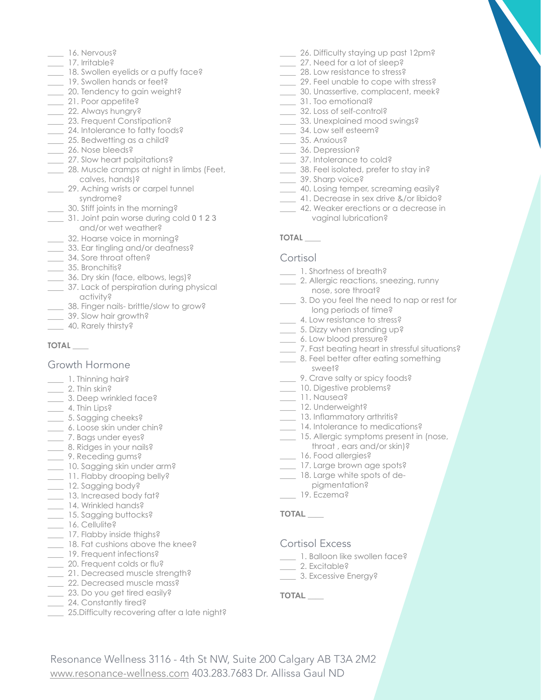- \_\_\_\_ 16. Nervous?
- \_\_\_\_ 17. Irritable?
- \_\_\_\_ 18. Swollen eyelids or a puffy face?
- \_\_\_\_ 19. Swollen hands or feet?
- \_\_\_\_ 20. Tendency to gain weight?
- \_\_\_\_ 21. Poor appetite?
- \_\_\_\_ 22. Always hungry?
- \_\_\_\_ 23. Frequent Constipation?
- \_\_\_\_ 24. Intolerance to fatty foods?
- \_\_\_\_ 25. Bedwetting as a child?
- \_\_\_ 26. Nose bleeds?
- \_\_\_\_ 27. Slow heart palpitations?
- 28. Muscle cramps at night in limbs (Feet, calves, hands)?
- \_\_\_\_ 29. Aching wrists or carpel tunnel syndrome?
	- \_\_\_\_ 30. Stiff joints in the morning?
- \_\_\_\_ 31. Joint pain worse during cold 0 1 2 3 and/or wet weather?
- \_\_\_\_ 32. Hoarse voice in morning?
- \_\_\_\_ 33. Ear tingling and/or deafness?
- \_\_\_\_ 34. Sore throat often?
- \_\_\_\_ 35. Bronchitis?
- \_\_\_\_ 36. Dry skin (face, elbows, legs)?
- \_\_\_\_ 37. Lack of perspiration during physical activity?
- \_\_\_\_ 38. Finger nails- brittle/slow to grow?
- \_\_\_\_ 39. Slow hair growth?
- \_ 40. Rarely thirsty?

#### **TOTAL** \_\_\_\_

# Growth Hormone

- \_\_\_\_ 1. Thinning hair?
- $\frac{1}{2}$ . Thin skin?
- \_\_\_\_ 3. Deep wrinkled face?
- 4. Thin Lips?
- \_\_\_\_ 5. Sagging cheeks?
- \_\_\_\_ 6. Loose skin under chin?
- \_\_\_\_ 7. Bags under eyes?
- \_\_\_\_ 8. Ridges in your nails?
- \_\_\_\_ 9. Receding gums?
- \_\_\_\_ 10. Sagging skin under arm?
- 11. Flabby drooping belly?
- \_\_\_ 12. Sagging body?
- \_\_\_\_ 13. Increased body fat?
- 14. Wrinkled hands?
- \_\_\_\_ 15. Sagging buttocks?
- \_\_\_ 16. Cellulite?
- \_\_\_\_ 17. Flabby inside thighs?
- \_\_\_\_ 18. Fat cushions above the knee?
- 19. Frequent infections?
- 20. Frequent colds or flu?
- 21. Decreased muscle strength? \_ 22. Decreased muscle mass?
- \_\_\_\_ 23. Do you get tired easily?
- \_ 24. Constantly tired?
- **25.Difficulty recovering after a late night?**
- \_\_\_\_ 26. Difficulty staying up past 12pm?
- \_\_\_\_ 27. Need for a lot of sleep?
- **28. Low resistance to stress?**
- \_\_\_\_ 29. Feel unable to cope with stress?
- \_\_\_\_ 30. Unassertive, complacent, meek?
- \_\_\_\_ 31. Too emotional?
- \_\_\_\_ 32. Loss of self-control?
- \_\_\_\_ 33. Unexplained mood swings?
- \_\_\_\_ 34. Low self esteem?
- \_\_\_\_ 35. Anxious? \_\_\_\_ 36. Depression?
- \_\_\_\_ 37. Intolerance to cold?
- \_\_\_\_ 38. Feel isolated, prefer to stay in?
- \_\_\_\_ 39. Sharp voice?
- \_\_\_\_ 40. Losing temper, screaming easily?
- \_\_\_\_ 41. Decrease in sex drive &/or libido?
- \_\_\_\_ 42. Weaker erections or a decrease in vaginal lubrication?

# **TOTAL** \_\_\_\_

#### **Cortisol**

- \_\_\_\_ 1. Shortness of breath?
- \_\_\_\_ 2. Allergic reactions, sneezing, runny nose, sore throat?
- \_\_\_\_ 3. Do you feel the need to nap or rest for long periods of time?
- \_\_\_\_ 4. Low resistance to stress?
- \_\_\_\_ 5. Dizzy when standing up?
- \_\_\_\_ 6. Low blood pressure?
- \_\_\_\_ 7. Fast beating heart in stressful situations?
- \_\_\_\_ 8. Feel better after eating something sweet?
- \_ 9. Crave salty or spicy foods?
- \_\_\_\_ 10. Digestive problems?
- \_\_\_\_ 11. Nausea?
- \_\_\_ 12. Underweight?
- \_\_\_\_ 13. Inflammatory arthritis?
- \_\_\_\_ 14. Intolerance to medications?
- \_\_\_\_ 15. Allergic symptoms present in (nose, throat , ears and/or skin)?
- \_\_\_\_ 16. Food allergies?
- \_\_\_ 17. Large brown age spots?
- \_\_\_\_ 18. Large white spots of de-
- pigmentation?
- \_\_\_\_ 19. Eczema?

## **TOTAL** \_\_\_\_

## Cortisol Excess

- \_\_\_\_ 1. Balloon like swollen face?
- \_\_\_ 2. Excitable?
- \_\_\_\_ 3. Excessive Energy?

## **TOTAL** \_\_\_\_

Resonance Wellness 3116 - 4th St NW, Suite 200 Calgary AB T3A 2M2 [www.resonance-wellness.com](http://www.resonance-wellness.com) 403.283.7683 Dr. Allissa Gaul ND